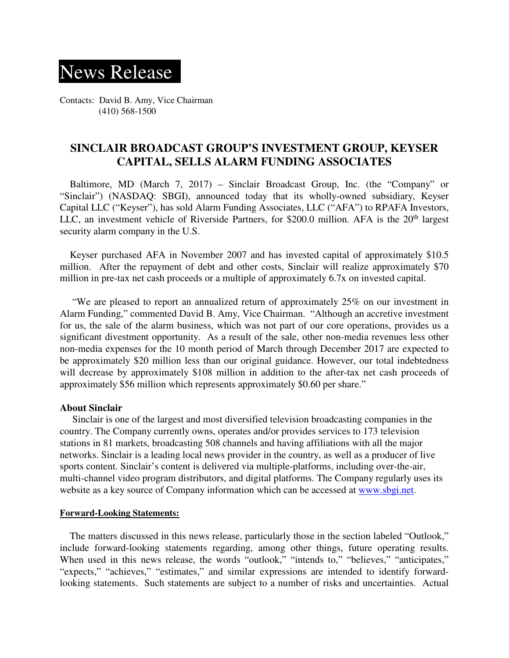## News Release

Contacts: David B. Amy, Vice Chairman (410) 568-1500

## **SINCLAIR BROADCAST GROUP'S INVESTMENT GROUP, KEYSER CAPITAL, SELLS ALARM FUNDING ASSOCIATES**

 Baltimore, MD (March 7, 2017) – Sinclair Broadcast Group, Inc. (the "Company" or "Sinclair") (NASDAQ: SBGI), announced today that its wholly-owned subsidiary, Keyser Capital LLC ("Keyser"), has sold Alarm Funding Associates, LLC ("AFA") to RPAFA Investors, LLC, an investment vehicle of Riverside Partners, for \$200.0 million. AFA is the 20<sup>th</sup> largest security alarm company in the U.S.

 Keyser purchased AFA in November 2007 and has invested capital of approximately \$10.5 million. After the repayment of debt and other costs, Sinclair will realize approximately \$70 million in pre-tax net cash proceeds or a multiple of approximately 6.7x on invested capital.

 "We are pleased to report an annualized return of approximately 25% on our investment in Alarm Funding," commented David B. Amy, Vice Chairman. "Although an accretive investment for us, the sale of the alarm business, which was not part of our core operations, provides us a significant divestment opportunity. As a result of the sale, other non-media revenues less other non-media expenses for the 10 month period of March through December 2017 are expected to be approximately \$20 million less than our original guidance. However, our total indebtedness will decrease by approximately \$108 million in addition to the after-tax net cash proceeds of approximately \$56 million which represents approximately \$0.60 per share."

## **About Sinclair**

Sinclair is one of the largest and most diversified television broadcasting companies in the country. The Company currently owns, operates and/or provides services to 173 television stations in 81 markets, broadcasting 508 channels and having affiliations with all the major networks. Sinclair is a leading local news provider in the country, as well as a producer of live sports content. Sinclair's content is delivered via multiple-platforms, including over-the-air, multi-channel video program distributors, and digital platforms. The Company regularly uses its website as a key source of Company information which can be accessed at www.sbgi.net.

## **Forward-Looking Statements:**

The matters discussed in this news release, particularly those in the section labeled "Outlook," include forward-looking statements regarding, among other things, future operating results. When used in this news release, the words "outlook," "intends to," "believes," "anticipates," "expects," "achieves," "estimates," and similar expressions are intended to identify forwardlooking statements. Such statements are subject to a number of risks and uncertainties. Actual